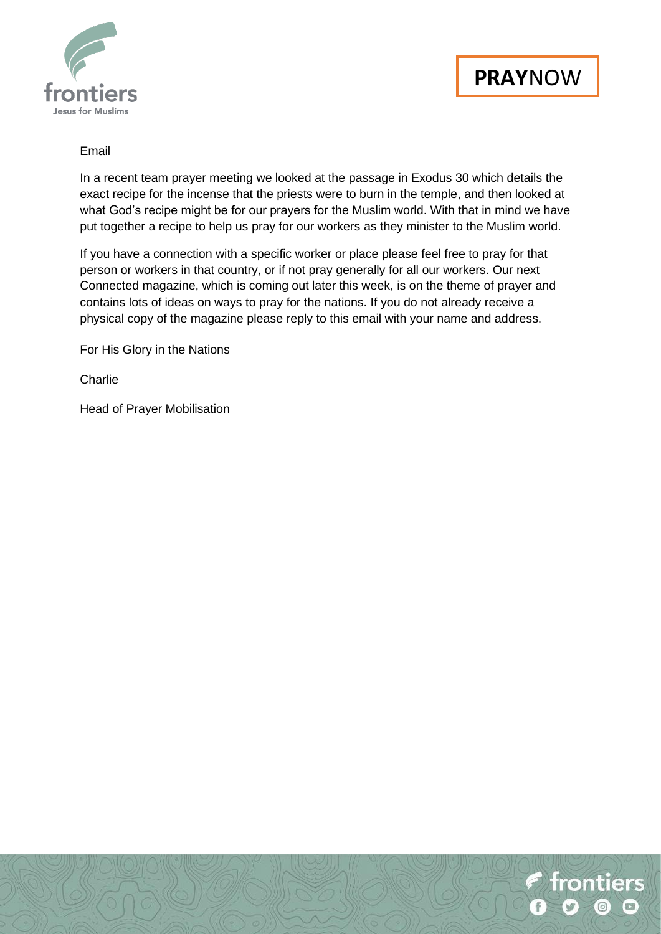



### Email

In a recent team prayer meeting we looked at the passage in Exodus 30 which details the exact recipe for the incense that the priests were to burn in the temple, and then looked at what God's recipe might be for our prayers for the Muslim world. With that in mind we have put together a recipe to help us pray for our workers as they minister to the Muslim world.

If you have a connection with a specific worker or place please feel free to pray for that person or workers in that country, or if not pray generally for all our workers. Our next Connected magazine, which is coming out later this week, is on the theme of prayer and contains lots of ideas on ways to pray for the nations. If you do not already receive a physical copy of the magazine please reply to this email with your name and address.

For His Glory in the Nations

**Charlie** 

Head of Prayer Mobilisation

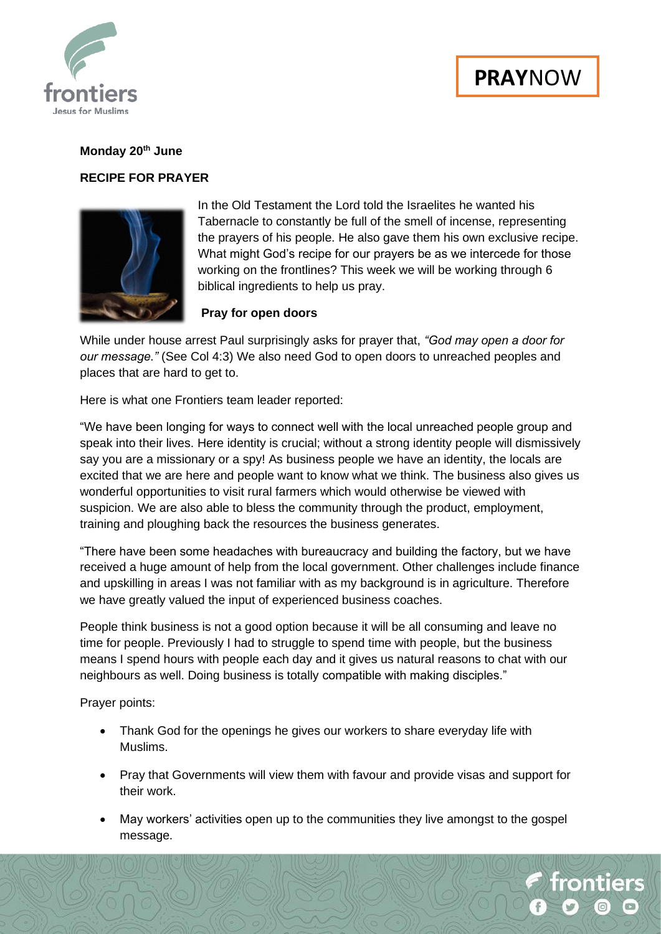

### **Monday 20th June**

### **RECIPE FOR PRAYER**



In the Old Testament the Lord told the Israelites he wanted his Tabernacle to constantly be full of the smell of incense, representing the prayers of his people. He also gave them his own exclusive recipe. What might God's recipe for our prayers be as we intercede for those working on the frontlines? This week we will be working through 6 biblical ingredients to help us pray.

### **Pray for open doors**

While under house arrest Paul surprisingly asks for prayer that, *"God may open a door for our message."* (See Col 4:3) We also need God to open doors to unreached peoples and places that are hard to get to.

Here is what one Frontiers team leader reported:

"We have been longing for ways to connect well with the local unreached people group and speak into their lives. Here identity is crucial; without a strong identity people will dismissively say you are a missionary or a spy! As business people we have an identity, the locals are excited that we are here and people want to know what we think. The business also gives us wonderful opportunities to visit rural farmers which would otherwise be viewed with suspicion. We are also able to bless the community through the product, employment, training and ploughing back the resources the business generates.

"There have been some headaches with bureaucracy and building the factory, but we have received a huge amount of help from the local government. Other challenges include finance and upskilling in areas I was not familiar with as my background is in agriculture. Therefore we have greatly valued the input of experienced business coaches.

People think business is not a good option because it will be all consuming and leave no time for people. Previously I had to struggle to spend time with people, but the business means I spend hours with people each day and it gives us natural reasons to chat with our neighbours as well. Doing business is totally compatible with making disciples."

Prayer points:

- Thank God for the openings he gives our workers to share everyday life with Muslims.
- Pray that Governments will view them with favour and provide visas and support for their work.
- May workers' activities open up to the communities they live amongst to the gospel message.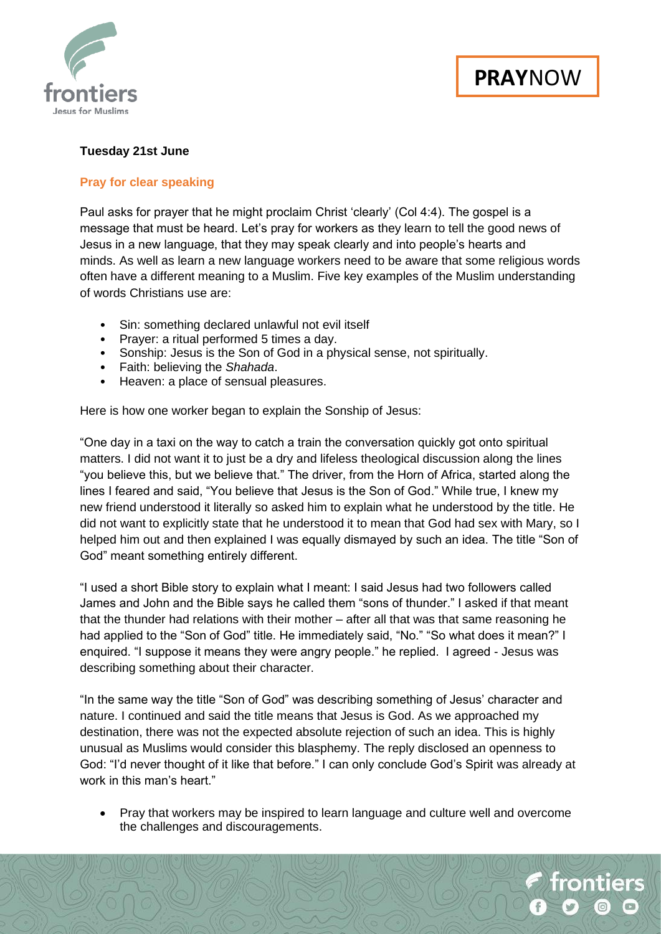

# **Tuesday 21st June**

### **Pray for clear speaking**

Paul asks for prayer that he might proclaim Christ 'clearly' (Col 4:4). The gospel is a message that must be heard. Let's pray for workers as they learn to tell the good news of Jesus in a new language, that they may speak clearly and into people's hearts and minds. As well as learn a new language workers need to be aware that some religious words often have a different meaning to a Muslim. Five key examples of the Muslim understanding of words Christians use are:

- Sin: something declared unlawful not evil itself
- Prayer: a ritual performed 5 times a day.
- Sonship: Jesus is the Son of God in a physical sense, not spiritually.
- Faith: believing the *Shahada*.
- Heaven: a place of sensual pleasures.

Here is how one worker began to explain the Sonship of Jesus:

"One day in a taxi on the way to catch a train the conversation quickly got onto spiritual matters. I did not want it to just be a dry and lifeless theological discussion along the lines "you believe this, but we believe that." The driver, from the Horn of Africa, started along the lines I feared and said, "You believe that Jesus is the Son of God." While true, I knew my new friend understood it literally so asked him to explain what he understood by the title. He did not want to explicitly state that he understood it to mean that God had sex with Mary, so I helped him out and then explained I was equally dismayed by such an idea. The title "Son of God" meant something entirely different.

"I used a short Bible story to explain what I meant: I said Jesus had two followers called James and John and the Bible says he called them "sons of thunder." I asked if that meant that the thunder had relations with their mother – after all that was that same reasoning he had applied to the "Son of God" title. He immediately said, "No." "So what does it mean?" I enquired. "I suppose it means they were angry people." he replied. I agreed - Jesus was describing something about their character.

"In the same way the title "Son of God" was describing something of Jesus' character and nature. I continued and said the title means that Jesus is God. As we approached my destination, there was not the expected absolute rejection of such an idea. This is highly unusual as Muslims would consider this blasphemy. The reply disclosed an openness to God: "I'd never thought of it like that before." I can only conclude God's Spirit was already at work in this man's heart."

• Pray that workers may be inspired to learn language and culture well and overcome the challenges and discouragements.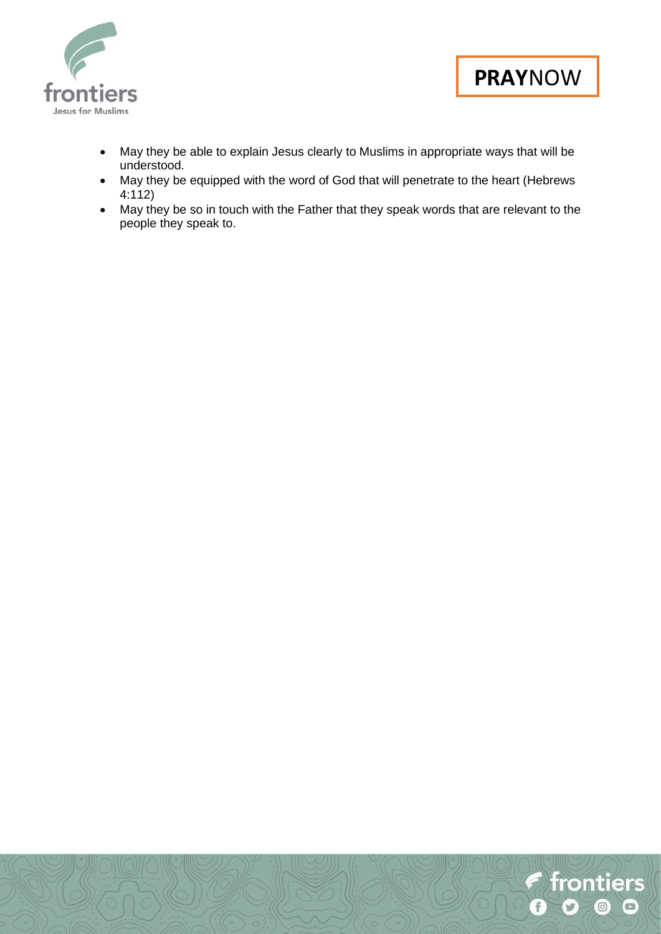



- May they be able to explain Jesus clearly to Muslims in appropriate ways that will be understood.
- May they be equipped with the word of God that will penetrate to the heart (Hebrews 4:112)
- May they be so in touch with the Father that they speak words that are relevant to the people they speak to.

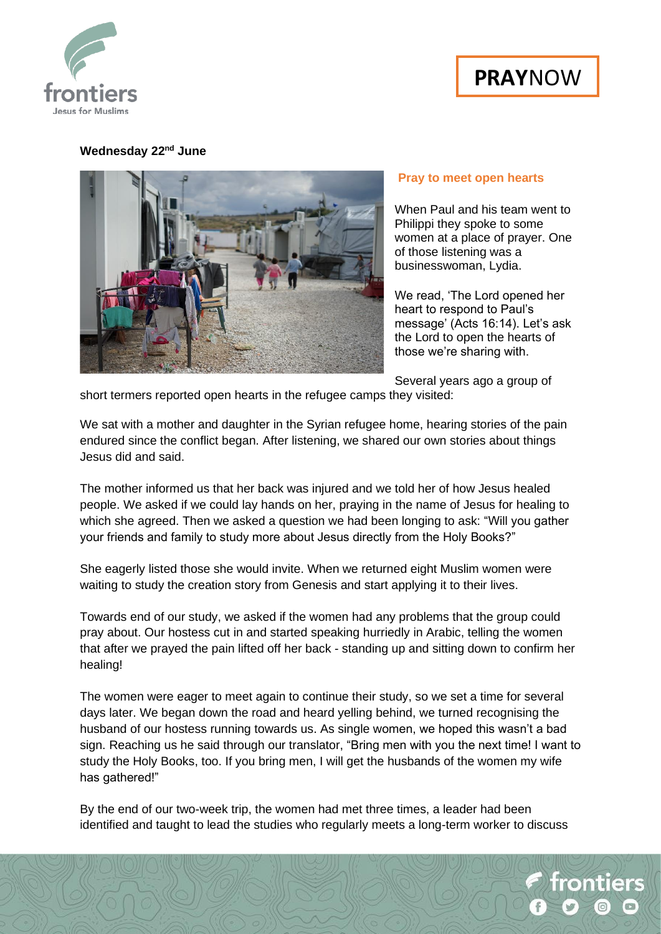



# **Wednesday 22nd June**



#### **Pray to meet open hearts**

When Paul and his team went to Philippi they spoke to some women at a place of prayer. One of those listening was a businesswoman, Lydia.

We read, 'The Lord opened her heart to respond to Paul's message' (Acts 16:14). Let's ask the Lord to open the hearts of those we're sharing with.

Several years ago a group of

short termers reported open hearts in the refugee camps they visited:

We sat with a mother and daughter in the Syrian refugee home, hearing stories of the pain endured since the conflict began. After listening, we shared our own stories about things Jesus did and said.

The mother informed us that her back was injured and we told her of how Jesus healed people. We asked if we could lay hands on her, praying in the name of Jesus for healing to which she agreed. Then we asked a question we had been longing to ask: "Will you gather your friends and family to study more about Jesus directly from the Holy Books?"

She eagerly listed those she would invite. When we returned eight Muslim women were waiting to study the creation story from Genesis and start applying it to their lives.

Towards end of our study, we asked if the women had any problems that the group could pray about. Our hostess cut in and started speaking hurriedly in Arabic, telling the women that after we prayed the pain lifted off her back - standing up and sitting down to confirm her healing!

The women were eager to meet again to continue their study, so we set a time for several days later. We began down the road and heard yelling behind, we turned recognising the husband of our hostess running towards us. As single women, we hoped this wasn't a bad sign. Reaching us he said through our translator, "Bring men with you the next time! I want to study the Holy Books, too. If you bring men, I will get the husbands of the women my wife has gathered!"

By the end of our two-week trip, the women had met three times, a leader had been identified and taught to lead the studies who regularly meets a long-term worker to discuss

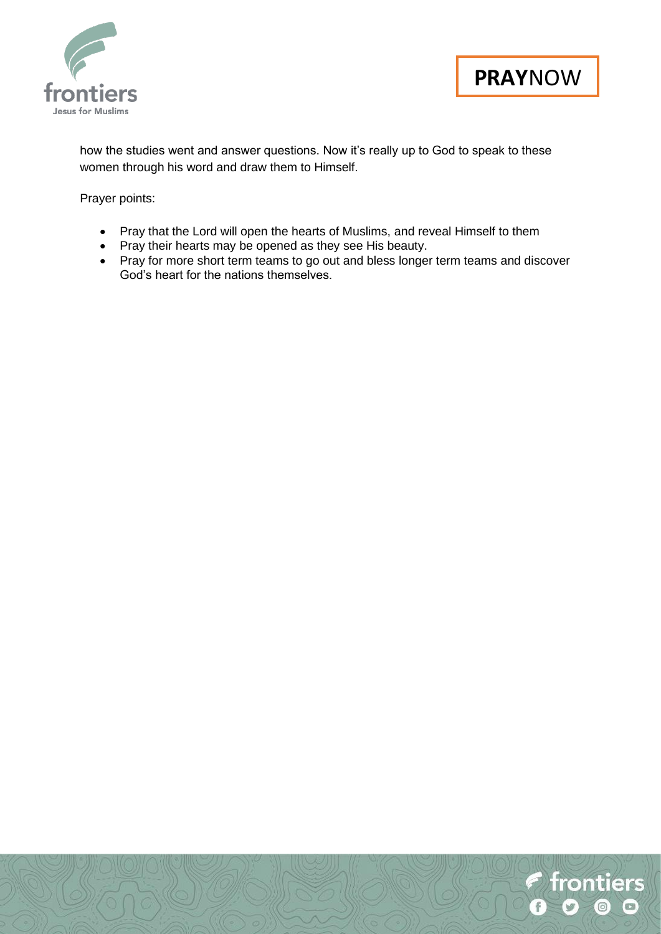

f frontiers

 $\boxed{0}$ 

 $\circ$ 

f

how the studies went and answer questions. Now it's really up to God to speak to these women through his word and draw them to Himself.

Prayer points:

- Pray that the Lord will open the hearts of Muslims, and reveal Himself to them
- Pray their hearts may be opened as they see His beauty.
- Pray for more short term teams to go out and bless longer term teams and discover God's heart for the nations themselves.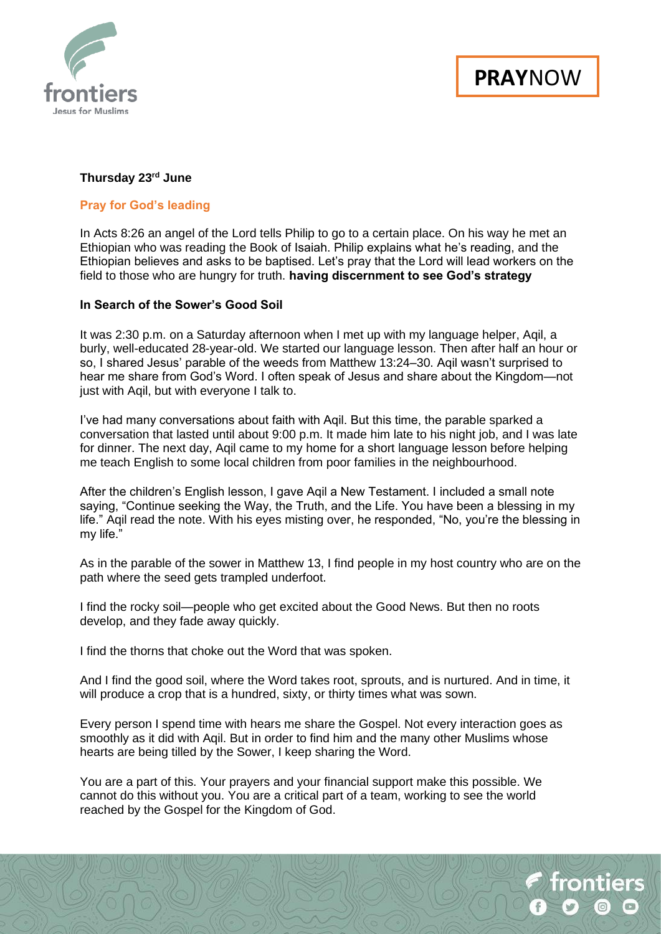

frontiers

# **Thursday 23rd June**

### **Pray for God's leading**

In Acts 8:26 an angel of the Lord tells Philip to go to a certain place. On his way he met an Ethiopian who was reading the Book of Isaiah. Philip explains what he's reading, and the Ethiopian believes and asks to be baptised. Let's pray that the Lord will lead workers on the field to those who are hungry for truth. **having discernment to see God's strategy**

### **In Search of the Sower's Good Soil**

It was 2:30 p.m. on a Saturday afternoon when I met up with my language helper, Aqil, a burly, well-educated 28-year-old. We started our language lesson. Then after half an hour or so, I shared Jesus' parable of the weeds from Matthew 13:24–30. Aqil wasn't surprised to hear me share from God's Word. I often speak of Jesus and share about the Kingdom—not just with Aqil, but with everyone I talk to.

I've had many conversations about faith with Aqil. But this time, the parable sparked a conversation that lasted until about 9:00 p.m. It made him late to his night job, and I was late for dinner. The next day, Aqil came to my home for a short language lesson before helping me teach English to some local children from poor families in the neighbourhood.

After the children's English lesson, I gave Aqil a New Testament. I included a small note saying, "Continue seeking the Way, the Truth, and the Life. You have been a blessing in my life." Aqil read the note. With his eyes misting over, he responded, "No, you're the blessing in my life."

As in the parable of the sower in Matthew 13, I find people in my host country who are on the path where the seed gets trampled underfoot.

I find the rocky soil—people who get excited about the Good News. But then no roots develop, and they fade away quickly.

I find the thorns that choke out the Word that was spoken.

And I find the good soil, where the Word takes root, sprouts, and is nurtured. And in time, it will produce a crop that is a hundred, sixty, or thirty times what was sown.

Every person I spend time with hears me share the Gospel. Not every interaction goes as smoothly as it did with Aqil. But in order to find him and the many other Muslims whose hearts are being tilled by the Sower, I keep sharing the Word.

You are a part of this. Your prayers and your financial support make this possible. We cannot do this without you. You are a critical part of a team, working to see the world reached by the Gospel for the Kingdom of God.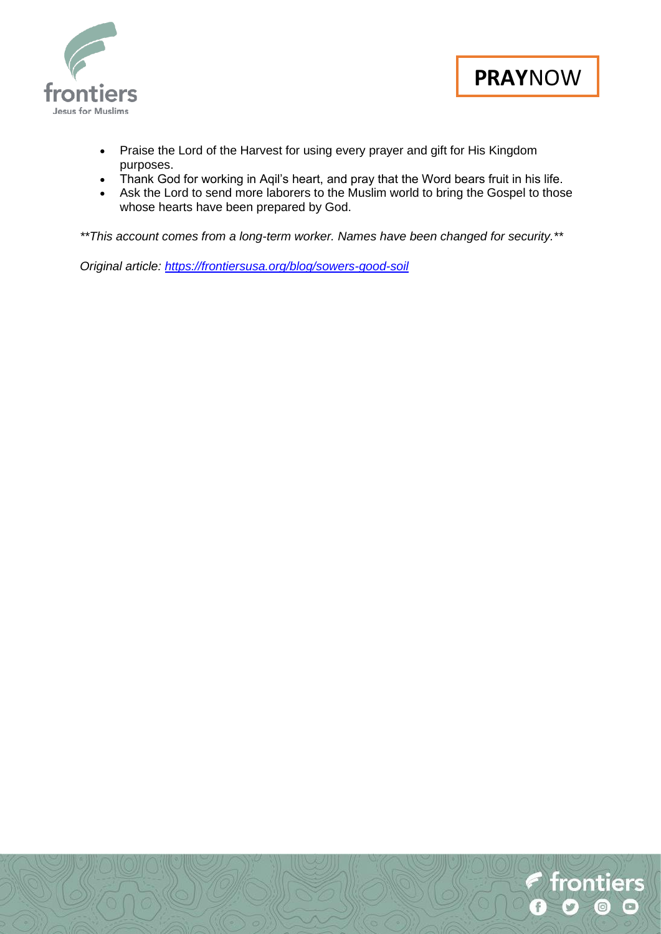



- Praise the Lord of the Harvest for using every prayer and gift for His Kingdom purposes.
- Thank God for working in Aqil's heart, and pray that the Word bears fruit in his life.
- Ask the Lord to send more laborers to the Muslim world to bring the Gospel to those whose hearts have been prepared by God.

*\*\*This account comes from a long-term worker. Names have been changed for security.\*\**

*Original article:<https://frontiersusa.org/blog/sowers-good-soil>*

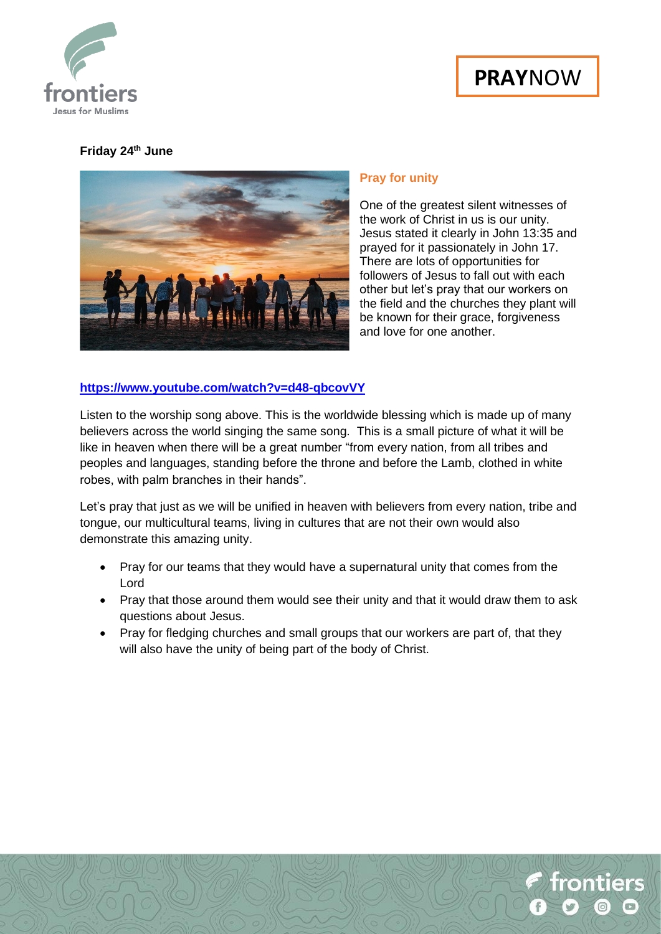



# **Friday 24th June**



### **Pray for unity**

One of the greatest silent witnesses of the work of Christ in us is our unity. Jesus stated it clearly in John 13:35 and prayed for it passionately in John 17. There are lots of opportunities for followers of Jesus to fall out with each other but let's pray that our workers on the field and the churches they plant will be known for their grace, forgiveness and love for one another.

# **<https://www.youtube.com/watch?v=d48-qbcovVY>**

Listen to the worship song above. This is the worldwide blessing which is made up of many believers across the world singing the same song. This is a small picture of what it will be like in heaven when there will be a great number "from every nation, from all tribes and peoples and languages, standing before the throne and before the Lamb, clothed in white robes, with palm branches in their hands".

Let's pray that just as we will be unified in heaven with believers from every nation, tribe and tongue, our multicultural teams, living in cultures that are not their own would also demonstrate this amazing unity.

- Pray for our teams that they would have a supernatural unity that comes from the Lord
- Pray that those around them would see their unity and that it would draw them to ask questions about Jesus.
- Pray for fledging churches and small groups that our workers are part of, that they will also have the unity of being part of the body of Christ.